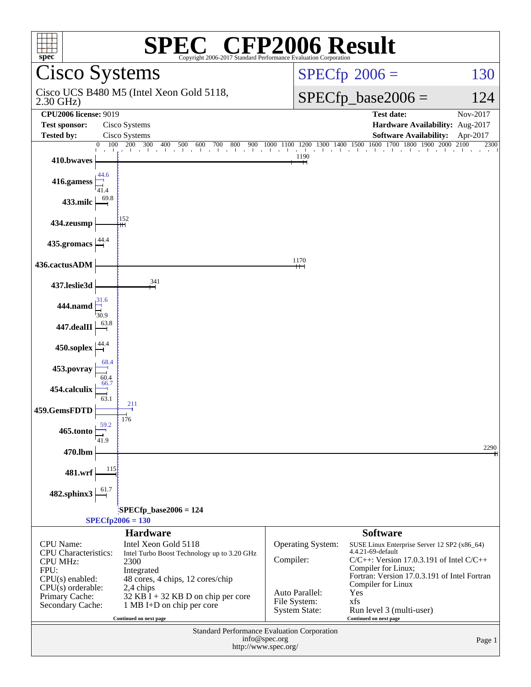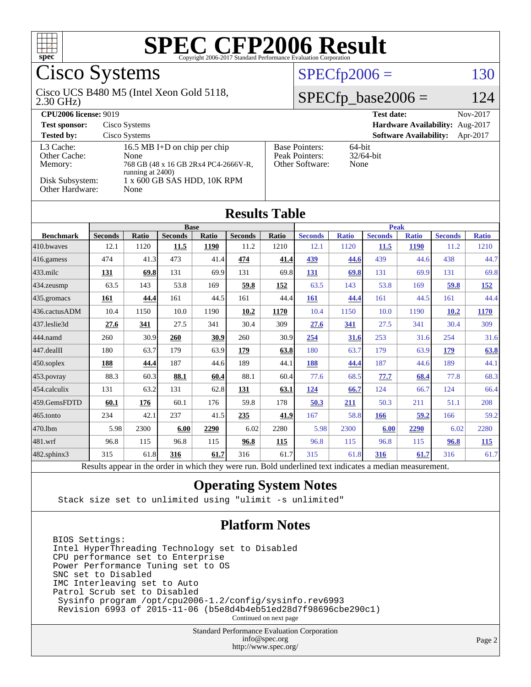

## Cisco Systems

#### 2.30 GHz) Cisco UCS B480 M5 (Intel Xeon Gold 5118,

 $SPECfp2006 = 130$  $SPECfp2006 = 130$ 

#### $SPECfp\_base2006 = 124$

| <b>CPU2006 license: 9019</b>                     |                                                                                                  | Nov-2017<br><b>Test date:</b>                              |                                           |
|--------------------------------------------------|--------------------------------------------------------------------------------------------------|------------------------------------------------------------|-------------------------------------------|
| <b>Test sponsor:</b>                             | Cisco Systems                                                                                    | Hardware Availability: Aug-2017                            |                                           |
| <b>Tested by:</b>                                | Cisco Systems                                                                                    |                                                            | <b>Software Availability:</b><br>Apr-2017 |
| L <sub>3</sub> Cache:<br>Other Cache:<br>Memory: | 16.5 MB I+D on chip per chip<br>None<br>768 GB (48 x 16 GB 2Rx4 PC4-2666V-R,<br>running at 2400) | <b>Base Pointers:</b><br>Peak Pointers:<br>Other Software: | 64-bit<br>$32/64$ -bit<br>None            |
| Disk Subsystem:<br>Other Hardware:               | 1 x 600 GB SAS HDD, 10K RPM<br>None                                                              |                                                            |                                           |

| <b>Results Table</b>   |                                                                                                          |              |                |       |                |       |                |              |                |              |                |              |
|------------------------|----------------------------------------------------------------------------------------------------------|--------------|----------------|-------|----------------|-------|----------------|--------------|----------------|--------------|----------------|--------------|
|                        | <b>Base</b>                                                                                              |              |                |       | <b>Peak</b>    |       |                |              |                |              |                |              |
| <b>Benchmark</b>       | <b>Seconds</b>                                                                                           | <b>Ratio</b> | <b>Seconds</b> | Ratio | <b>Seconds</b> | Ratio | <b>Seconds</b> | <b>Ratio</b> | <b>Seconds</b> | <b>Ratio</b> | <b>Seconds</b> | <b>Ratio</b> |
| $ 410$ .bwayes         | 12.1                                                                                                     | 1120         | 11.5           | 1190  | 11.2           | 1210  | 12.1           | 1120         | 11.5           | <b>1190</b>  | 11.2           | 1210         |
| $416$ .gamess          | 474                                                                                                      | 41.3         | 473            | 41.4  | 474            | 41.4  | 439            | 44.6         | 439            | 44.6         | 438            | 44.7         |
| $433$ .milc            | 131                                                                                                      | 69.8         | 131            | 69.9  | 131            | 69.8  | 131            | 69.8         | 131            | 69.9         | 131            | 69.8         |
| $434$ . zeusmp         | 63.5                                                                                                     | 143          | 53.8           | 169   | 59.8           | 152   | 63.5           | 143          | 53.8           | 169          | 59.8           | <u>152</u>   |
| 435.gromacs            | 161                                                                                                      | 44.4         | 161            | 44.5  | 161            | 44.4  | 161            | 44.4         | 161            | 44.5         | 161            | 44.4         |
| 436.cactusADM          | 10.4                                                                                                     | 1150         | 10.0           | 1190  | 10.2           | 1170  | 10.4           | 1150         | 10.0           | 1190         | 10.2           | 1170         |
| 437.leslie3d           | 27.6                                                                                                     | 341          | 27.5           | 341   | 30.4           | 309   | 27.6           | 341          | 27.5           | 341          | 30.4           | 309          |
| 444.namd               | 260                                                                                                      | 30.9         | 260            | 30.9  | 260            | 30.9  | 254            | 31.6         | 253            | 31.6         | 254            | 31.6         |
| $ 447 \text{.}$ dealII | 180                                                                                                      | 63.7         | 179            | 63.9  | 179            | 63.8  | 180            | 63.7         | 179            | 63.9         | 179            | 63.8         |
| $450$ .soplex          | 188                                                                                                      | 44.4         | 187            | 44.6  | 189            | 44.1  | 188            | 44.4         | 187            | 44.6         | 189            | 44.1         |
| $453$ .povray          | 88.3                                                                                                     | 60.3         | 88.1           | 60.4  | 88.1           | 60.4  | 77.6           | 68.5         | 77.7           | 68.4         | 77.8           | 68.3         |
| $ 454$ .calculix       | 131                                                                                                      | 63.2         | 131            | 62.8  | 131            | 63.1  | 124            | 66.7         | 124            | 66.7         | 124            | 66.4         |
| 459.GemsFDTD           | 60.1                                                                                                     | 176          | 60.1           | 176   | 59.8           | 178   | 50.3           | 211          | 50.3           | 211          | 51.1           | 208          |
| 465.tonto              | 234                                                                                                      | 42.1         | 237            | 41.5  | 235            | 41.9  | 167            | 58.8         | 166            | 59.2         | 166            | 59.2         |
| 470.1bm                | 5.98                                                                                                     | 2300         | 6.00           | 2290  | 6.02           | 2280  | 5.98           | 2300         | 6.00           | 2290         | 6.02           | 2280         |
| 481.wrf                | 96.8                                                                                                     | 115          | 96.8           | 115   | 96.8           | 115   | 96.8           | 115          | 96.8           | 115          | 96.8           | 115          |
| 482.sphinx3            | 315                                                                                                      | 61.8         | 316            | 61.7  | 316            | 61.7  | 315            | 61.8         | 316            | 61.7         | 316            | 61.7         |
|                        | Results appear in the order in which they were run. Bold underlined text indicates a median measurement. |              |                |       |                |       |                |              |                |              |                |              |

#### **[Operating System Notes](http://www.spec.org/auto/cpu2006/Docs/result-fields.html#OperatingSystemNotes)**

Stack size set to unlimited using "ulimit -s unlimited"

#### **[Platform Notes](http://www.spec.org/auto/cpu2006/Docs/result-fields.html#PlatformNotes)**

BIOS Settings: Intel HyperThreading Technology set to Disabled CPU performance set to Enterprise Power Performance Tuning set to OS SNC set to Disabled IMC Interleaving set to Auto Patrol Scrub set to Disabled Sysinfo program /opt/cpu2006-1.2/config/sysinfo.rev6993 Revision 6993 of 2015-11-06 (b5e8d4b4eb51ed28d7f98696cbe290c1)

Continued on next page

Standard Performance Evaluation Corporation [info@spec.org](mailto:info@spec.org) <http://www.spec.org/>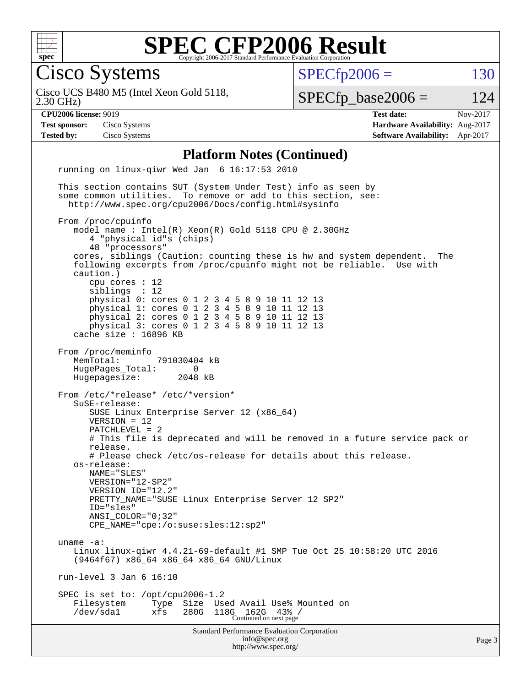

Cisco Systems

 $SPECTp2006 = 130$ 

2.30 GHz) Cisco UCS B480 M5 (Intel Xeon Gold 5118,  $SPECfp\_base2006 = 124$ 

**[CPU2006 license:](http://www.spec.org/auto/cpu2006/Docs/result-fields.html#CPU2006license)** 9019 **[Test date:](http://www.spec.org/auto/cpu2006/Docs/result-fields.html#Testdate)** Nov-2017 **[Test sponsor:](http://www.spec.org/auto/cpu2006/Docs/result-fields.html#Testsponsor)** Cisco Systems **[Hardware Availability:](http://www.spec.org/auto/cpu2006/Docs/result-fields.html#HardwareAvailability)** Aug-2017 **[Tested by:](http://www.spec.org/auto/cpu2006/Docs/result-fields.html#Testedby)** Cisco Systems **[Software Availability:](http://www.spec.org/auto/cpu2006/Docs/result-fields.html#SoftwareAvailability)** Apr-2017

#### **[Platform Notes \(Continued\)](http://www.spec.org/auto/cpu2006/Docs/result-fields.html#PlatformNotes)**

Standard Performance Evaluation Corporation [info@spec.org](mailto:info@spec.org) <http://www.spec.org/> running on linux-qiwr Wed Jan 6 16:17:53 2010 This section contains SUT (System Under Test) info as seen by some common utilities. To remove or add to this section, see: <http://www.spec.org/cpu2006/Docs/config.html#sysinfo> From /proc/cpuinfo model name : Intel(R) Xeon(R) Gold 5118 CPU @ 2.30GHz 4 "physical id"s (chips) 48 "processors" cores, siblings (Caution: counting these is hw and system dependent. The following excerpts from /proc/cpuinfo might not be reliable. Use with caution.) cpu cores : 12 siblings : 12 physical 0: cores 0 1 2 3 4 5 8 9 10 11 12 13 physical 1: cores 0 1 2 3 4 5 8 9 10 11 12 13 physical 2: cores 0 1 2 3 4 5 8 9 10 11 12 13 physical 3: cores 0 1 2 3 4 5 8 9 10 11 12 13 cache size : 16896 KB From /proc/meminfo MemTotal: 791030404 kB HugePages\_Total: 0 Hugepagesize: 2048 kB From /etc/\*release\* /etc/\*version\* SuSE-release: SUSE Linux Enterprise Server 12 (x86\_64) VERSION = 12 PATCHLEVEL = 2 # This file is deprecated and will be removed in a future service pack or release. # Please check /etc/os-release for details about this release. os-release: NAME="SLES" VERSION="12-SP2" VERSION\_ID="12.2" PRETTY\_NAME="SUSE Linux Enterprise Server 12 SP2" ID="sles" ANSI\_COLOR="0;32" CPE\_NAME="cpe:/o:suse:sles:12:sp2" uname -a: Linux linux-qiwr 4.4.21-69-default #1 SMP Tue Oct 25 10:58:20 UTC 2016 (9464f67) x86\_64 x86\_64 x86\_64 GNU/Linux run-level 3 Jan 6 16:10 SPEC is set to: /opt/cpu2006-1.2 Filesystem Type Size Used Avail Use% Mounted on /dev/sda1 xfs 280G 118G 162G 43% / Continued on next page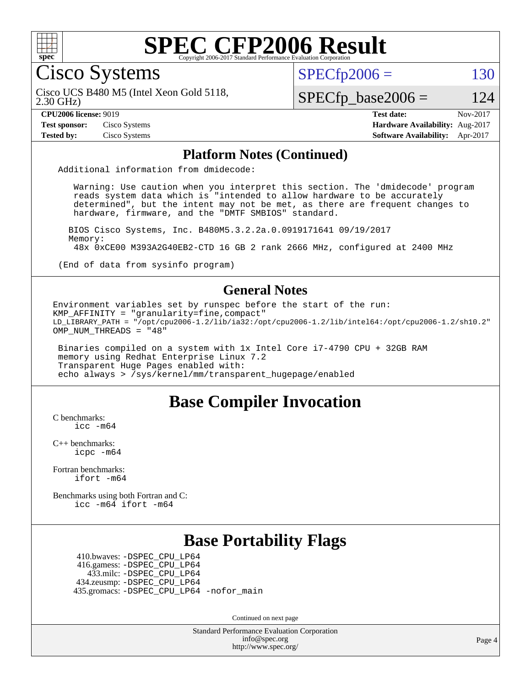

Cisco Systems

 $SPECTp2006 = 130$ 

2.30 GHz) Cisco UCS B480 M5 (Intel Xeon Gold 5118,

 $SPECfp\_base2006 = 124$ 

**[Test sponsor:](http://www.spec.org/auto/cpu2006/Docs/result-fields.html#Testsponsor)** Cisco Systems **[Hardware Availability:](http://www.spec.org/auto/cpu2006/Docs/result-fields.html#HardwareAvailability)** Aug-2017

**[CPU2006 license:](http://www.spec.org/auto/cpu2006/Docs/result-fields.html#CPU2006license)** 9019 **[Test date:](http://www.spec.org/auto/cpu2006/Docs/result-fields.html#Testdate)** Nov-2017 **[Tested by:](http://www.spec.org/auto/cpu2006/Docs/result-fields.html#Testedby)** Cisco Systems **[Software Availability:](http://www.spec.org/auto/cpu2006/Docs/result-fields.html#SoftwareAvailability)** Apr-2017

#### **[Platform Notes \(Continued\)](http://www.spec.org/auto/cpu2006/Docs/result-fields.html#PlatformNotes)**

Additional information from dmidecode:

 Warning: Use caution when you interpret this section. The 'dmidecode' program reads system data which is "intended to allow hardware to be accurately determined", but the intent may not be met, as there are frequent changes to hardware, firmware, and the "DMTF SMBIOS" standard.

 BIOS Cisco Systems, Inc. B480M5.3.2.2a.0.0919171641 09/19/2017 Memory: 48x 0xCE00 M393A2G40EB2-CTD 16 GB 2 rank 2666 MHz, configured at 2400 MHz

(End of data from sysinfo program)

#### **[General Notes](http://www.spec.org/auto/cpu2006/Docs/result-fields.html#GeneralNotes)**

Environment variables set by runspec before the start of the run: KMP AFFINITY = "granularity=fine,  $compact$ " LD\_LIBRARY\_PATH = "/opt/cpu2006-1.2/lib/ia32:/opt/cpu2006-1.2/lib/intel64:/opt/cpu2006-1.2/sh10.2" OMP NUM THREADS = "48"

 Binaries compiled on a system with 1x Intel Core i7-4790 CPU + 32GB RAM memory using Redhat Enterprise Linux 7.2 Transparent Huge Pages enabled with: echo always > /sys/kernel/mm/transparent\_hugepage/enabled

#### **[Base Compiler Invocation](http://www.spec.org/auto/cpu2006/Docs/result-fields.html#BaseCompilerInvocation)**

[C benchmarks](http://www.spec.org/auto/cpu2006/Docs/result-fields.html#Cbenchmarks): [icc -m64](http://www.spec.org/cpu2006/results/res2017q4/cpu2006-20171114-50697.flags.html#user_CCbase_intel_icc_64bit_bda6cc9af1fdbb0edc3795bac97ada53)

[C++ benchmarks:](http://www.spec.org/auto/cpu2006/Docs/result-fields.html#CXXbenchmarks) [icpc -m64](http://www.spec.org/cpu2006/results/res2017q4/cpu2006-20171114-50697.flags.html#user_CXXbase_intel_icpc_64bit_fc66a5337ce925472a5c54ad6a0de310)

[Fortran benchmarks](http://www.spec.org/auto/cpu2006/Docs/result-fields.html#Fortranbenchmarks): [ifort -m64](http://www.spec.org/cpu2006/results/res2017q4/cpu2006-20171114-50697.flags.html#user_FCbase_intel_ifort_64bit_ee9d0fb25645d0210d97eb0527dcc06e)

[Benchmarks using both Fortran and C](http://www.spec.org/auto/cpu2006/Docs/result-fields.html#BenchmarksusingbothFortranandC): [icc -m64](http://www.spec.org/cpu2006/results/res2017q4/cpu2006-20171114-50697.flags.html#user_CC_FCbase_intel_icc_64bit_bda6cc9af1fdbb0edc3795bac97ada53) [ifort -m64](http://www.spec.org/cpu2006/results/res2017q4/cpu2006-20171114-50697.flags.html#user_CC_FCbase_intel_ifort_64bit_ee9d0fb25645d0210d97eb0527dcc06e)

### **[Base Portability Flags](http://www.spec.org/auto/cpu2006/Docs/result-fields.html#BasePortabilityFlags)**

 410.bwaves: [-DSPEC\\_CPU\\_LP64](http://www.spec.org/cpu2006/results/res2017q4/cpu2006-20171114-50697.flags.html#suite_basePORTABILITY410_bwaves_DSPEC_CPU_LP64) 416.gamess: [-DSPEC\\_CPU\\_LP64](http://www.spec.org/cpu2006/results/res2017q4/cpu2006-20171114-50697.flags.html#suite_basePORTABILITY416_gamess_DSPEC_CPU_LP64) 433.milc: [-DSPEC\\_CPU\\_LP64](http://www.spec.org/cpu2006/results/res2017q4/cpu2006-20171114-50697.flags.html#suite_basePORTABILITY433_milc_DSPEC_CPU_LP64) 434.zeusmp: [-DSPEC\\_CPU\\_LP64](http://www.spec.org/cpu2006/results/res2017q4/cpu2006-20171114-50697.flags.html#suite_basePORTABILITY434_zeusmp_DSPEC_CPU_LP64) 435.gromacs: [-DSPEC\\_CPU\\_LP64](http://www.spec.org/cpu2006/results/res2017q4/cpu2006-20171114-50697.flags.html#suite_basePORTABILITY435_gromacs_DSPEC_CPU_LP64) [-nofor\\_main](http://www.spec.org/cpu2006/results/res2017q4/cpu2006-20171114-50697.flags.html#user_baseLDPORTABILITY435_gromacs_f-nofor_main)

Continued on next page

Standard Performance Evaluation Corporation [info@spec.org](mailto:info@spec.org) <http://www.spec.org/>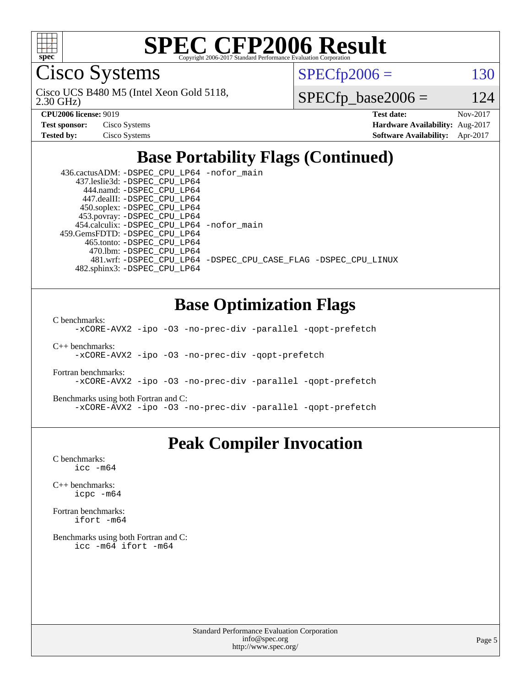

Cisco Systems

 $SPECTp2006 = 130$ 

2.30 GHz) Cisco UCS B480 M5 (Intel Xeon Gold 5118,

 $SPECfp\_base2006 = 124$ 

| <b>Test sponsor:</b> | Cisco Systems |
|----------------------|---------------|
| <b>Tested by:</b>    | Cisco Systems |

**[CPU2006 license:](http://www.spec.org/auto/cpu2006/Docs/result-fields.html#CPU2006license)** 9019 **[Test date:](http://www.spec.org/auto/cpu2006/Docs/result-fields.html#Testdate)** Nov-2017 **[Hardware Availability:](http://www.spec.org/auto/cpu2006/Docs/result-fields.html#HardwareAvailability)** Aug-2017 **[Software Availability:](http://www.spec.org/auto/cpu2006/Docs/result-fields.html#SoftwareAvailability)** Apr-2017

## **[Base Portability Flags \(Continued\)](http://www.spec.org/auto/cpu2006/Docs/result-fields.html#BasePortabilityFlags)**

| 436.cactusADM: - DSPEC CPU LP64 - nofor main |                                                                |
|----------------------------------------------|----------------------------------------------------------------|
| 437.leslie3d: -DSPEC CPU LP64                |                                                                |
| 444.namd: - DSPEC CPU LP64                   |                                                                |
| 447.dealII: -DSPEC CPU LP64                  |                                                                |
| 450.soplex: -DSPEC_CPU_LP64                  |                                                                |
| 453.povray: -DSPEC_CPU_LP64                  |                                                                |
| 454.calculix: -DSPEC_CPU_LP64 -nofor_main    |                                                                |
| 459.GemsFDTD: -DSPEC CPU LP64                |                                                                |
| 465.tonto: -DSPEC CPU LP64                   |                                                                |
| 470.1bm: - DSPEC CPU LP64                    |                                                                |
|                                              | 481.wrf: -DSPEC_CPU_LP64 -DSPEC_CPU_CASE_FLAG -DSPEC_CPU_LINUX |
| 482.sphinx3: -DSPEC CPU LP64                 |                                                                |

### **[Base Optimization Flags](http://www.spec.org/auto/cpu2006/Docs/result-fields.html#BaseOptimizationFlags)**

[C benchmarks](http://www.spec.org/auto/cpu2006/Docs/result-fields.html#Cbenchmarks):

[-xCORE-AVX2](http://www.spec.org/cpu2006/results/res2017q4/cpu2006-20171114-50697.flags.html#user_CCbase_f-xCORE-AVX2) [-ipo](http://www.spec.org/cpu2006/results/res2017q4/cpu2006-20171114-50697.flags.html#user_CCbase_f-ipo) [-O3](http://www.spec.org/cpu2006/results/res2017q4/cpu2006-20171114-50697.flags.html#user_CCbase_f-O3) [-no-prec-div](http://www.spec.org/cpu2006/results/res2017q4/cpu2006-20171114-50697.flags.html#user_CCbase_f-no-prec-div) [-parallel](http://www.spec.org/cpu2006/results/res2017q4/cpu2006-20171114-50697.flags.html#user_CCbase_f-parallel) [-qopt-prefetch](http://www.spec.org/cpu2006/results/res2017q4/cpu2006-20171114-50697.flags.html#user_CCbase_f-qopt-prefetch)

[C++ benchmarks:](http://www.spec.org/auto/cpu2006/Docs/result-fields.html#CXXbenchmarks) [-xCORE-AVX2](http://www.spec.org/cpu2006/results/res2017q4/cpu2006-20171114-50697.flags.html#user_CXXbase_f-xCORE-AVX2) [-ipo](http://www.spec.org/cpu2006/results/res2017q4/cpu2006-20171114-50697.flags.html#user_CXXbase_f-ipo) [-O3](http://www.spec.org/cpu2006/results/res2017q4/cpu2006-20171114-50697.flags.html#user_CXXbase_f-O3) [-no-prec-div](http://www.spec.org/cpu2006/results/res2017q4/cpu2006-20171114-50697.flags.html#user_CXXbase_f-no-prec-div) [-qopt-prefetch](http://www.spec.org/cpu2006/results/res2017q4/cpu2006-20171114-50697.flags.html#user_CXXbase_f-qopt-prefetch)

[Fortran benchmarks](http://www.spec.org/auto/cpu2006/Docs/result-fields.html#Fortranbenchmarks): [-xCORE-AVX2](http://www.spec.org/cpu2006/results/res2017q4/cpu2006-20171114-50697.flags.html#user_FCbase_f-xCORE-AVX2) [-ipo](http://www.spec.org/cpu2006/results/res2017q4/cpu2006-20171114-50697.flags.html#user_FCbase_f-ipo) [-O3](http://www.spec.org/cpu2006/results/res2017q4/cpu2006-20171114-50697.flags.html#user_FCbase_f-O3) [-no-prec-div](http://www.spec.org/cpu2006/results/res2017q4/cpu2006-20171114-50697.flags.html#user_FCbase_f-no-prec-div) [-parallel](http://www.spec.org/cpu2006/results/res2017q4/cpu2006-20171114-50697.flags.html#user_FCbase_f-parallel) [-qopt-prefetch](http://www.spec.org/cpu2006/results/res2017q4/cpu2006-20171114-50697.flags.html#user_FCbase_f-qopt-prefetch)

[Benchmarks using both Fortran and C](http://www.spec.org/auto/cpu2006/Docs/result-fields.html#BenchmarksusingbothFortranandC): [-xCORE-AVX2](http://www.spec.org/cpu2006/results/res2017q4/cpu2006-20171114-50697.flags.html#user_CC_FCbase_f-xCORE-AVX2) [-ipo](http://www.spec.org/cpu2006/results/res2017q4/cpu2006-20171114-50697.flags.html#user_CC_FCbase_f-ipo) [-O3](http://www.spec.org/cpu2006/results/res2017q4/cpu2006-20171114-50697.flags.html#user_CC_FCbase_f-O3) [-no-prec-div](http://www.spec.org/cpu2006/results/res2017q4/cpu2006-20171114-50697.flags.html#user_CC_FCbase_f-no-prec-div) [-parallel](http://www.spec.org/cpu2006/results/res2017q4/cpu2006-20171114-50697.flags.html#user_CC_FCbase_f-parallel) [-qopt-prefetch](http://www.spec.org/cpu2006/results/res2017q4/cpu2006-20171114-50697.flags.html#user_CC_FCbase_f-qopt-prefetch)

### **[Peak Compiler Invocation](http://www.spec.org/auto/cpu2006/Docs/result-fields.html#PeakCompilerInvocation)**

[C benchmarks](http://www.spec.org/auto/cpu2006/Docs/result-fields.html#Cbenchmarks): [icc -m64](http://www.spec.org/cpu2006/results/res2017q4/cpu2006-20171114-50697.flags.html#user_CCpeak_intel_icc_64bit_bda6cc9af1fdbb0edc3795bac97ada53)

[C++ benchmarks:](http://www.spec.org/auto/cpu2006/Docs/result-fields.html#CXXbenchmarks) [icpc -m64](http://www.spec.org/cpu2006/results/res2017q4/cpu2006-20171114-50697.flags.html#user_CXXpeak_intel_icpc_64bit_fc66a5337ce925472a5c54ad6a0de310)

[Fortran benchmarks](http://www.spec.org/auto/cpu2006/Docs/result-fields.html#Fortranbenchmarks): [ifort -m64](http://www.spec.org/cpu2006/results/res2017q4/cpu2006-20171114-50697.flags.html#user_FCpeak_intel_ifort_64bit_ee9d0fb25645d0210d97eb0527dcc06e)

[Benchmarks using both Fortran and C](http://www.spec.org/auto/cpu2006/Docs/result-fields.html#BenchmarksusingbothFortranandC): [icc -m64](http://www.spec.org/cpu2006/results/res2017q4/cpu2006-20171114-50697.flags.html#user_CC_FCpeak_intel_icc_64bit_bda6cc9af1fdbb0edc3795bac97ada53) [ifort -m64](http://www.spec.org/cpu2006/results/res2017q4/cpu2006-20171114-50697.flags.html#user_CC_FCpeak_intel_ifort_64bit_ee9d0fb25645d0210d97eb0527dcc06e)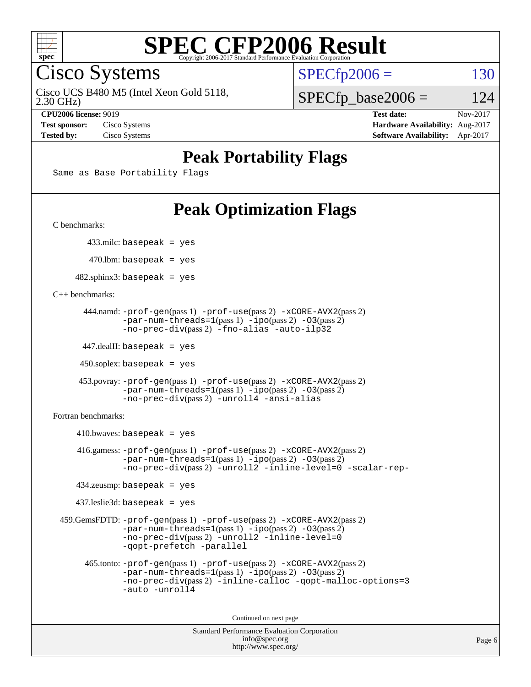

Cisco Systems

Cisco UCS B480 M5 (Intel Xeon Gold 5118,

 $SPECTp2006 = 130$ 

2.30 GHz)

**[Tested by:](http://www.spec.org/auto/cpu2006/Docs/result-fields.html#Testedby)** Cisco Systems **[Software Availability:](http://www.spec.org/auto/cpu2006/Docs/result-fields.html#SoftwareAvailability)** Apr-2017

 $SPECfp\_base2006 = 124$ **[CPU2006 license:](http://www.spec.org/auto/cpu2006/Docs/result-fields.html#CPU2006license)** 9019 **[Test date:](http://www.spec.org/auto/cpu2006/Docs/result-fields.html#Testdate)** Nov-2017 **[Test sponsor:](http://www.spec.org/auto/cpu2006/Docs/result-fields.html#Testsponsor)** Cisco Systems **[Hardware Availability:](http://www.spec.org/auto/cpu2006/Docs/result-fields.html#HardwareAvailability)** Aug-2017

## **[Peak Portability Flags](http://www.spec.org/auto/cpu2006/Docs/result-fields.html#PeakPortabilityFlags)**

Same as Base Portability Flags

## **[Peak Optimization Flags](http://www.spec.org/auto/cpu2006/Docs/result-fields.html#PeakOptimizationFlags)**

[C benchmarks](http://www.spec.org/auto/cpu2006/Docs/result-fields.html#Cbenchmarks):

433.milc: basepeak = yes

 $470.$ lbm: basepeak = yes

 $482$ .sphinx3: basepeak = yes

[C++ benchmarks:](http://www.spec.org/auto/cpu2006/Docs/result-fields.html#CXXbenchmarks)

```
 444.namd: -prof-gen(pass 1) -prof-use(pass 2) -xCORE-AVX2(pass 2)
      -par-num-threads=1-ipo-O3(pass 2)-no-prec-div(pass 2) -fno-alias -auto-ilp32
```
447.dealII: basepeak = yes

 $450$ .soplex: basepeak = yes

```
 453.povray: -prof-gen(pass 1) -prof-use(pass 2) -xCORE-AVX2(pass 2)
        -par-num-threads=1-ipo-O3(pass 2)-no-prec-div(pass 2) -unroll4 -ansi-alias
```
[Fortran benchmarks](http://www.spec.org/auto/cpu2006/Docs/result-fields.html#Fortranbenchmarks):

```
410.bwaves: basepeak = yes 416.gamess: -prof-gen(pass 1) -prof-use(pass 2) -xCORE-AVX2(pass 2)
           -par-num-threads=1-ipo-O3(pass 2)-no-prec-div(pass 2) -unroll2 -inline-level=0 -scalar-rep-
   434.zeusmp: basepeak = yes
   437.leslie3d: basepeak = yes
459.GemsFDTD: -prof-gen(pass 1) -prof-use(pass 2) -xCORE-AVX2(pass 2)
           -par-num-threads=1-ipo-O3(pass 2)-no-prec-div(pass 2) -unroll2 -inline-level=0
           -qopt-prefetch -parallel
     465.tonto: -prof-gen(pass 1) -prof-use(pass 2) -xCORE-AVX2(pass 2)
           -par-num-threads=1(pass 1) -ipo(pass 2) -O3(pass 2)
           -no-prec-div-inline-calloc-qopt-malloc-options=3
           -auto -unroll4
```
Continued on next page

```
Standard Performance Evaluation Corporation
            info@spec.org
          http://www.spec.org/
```